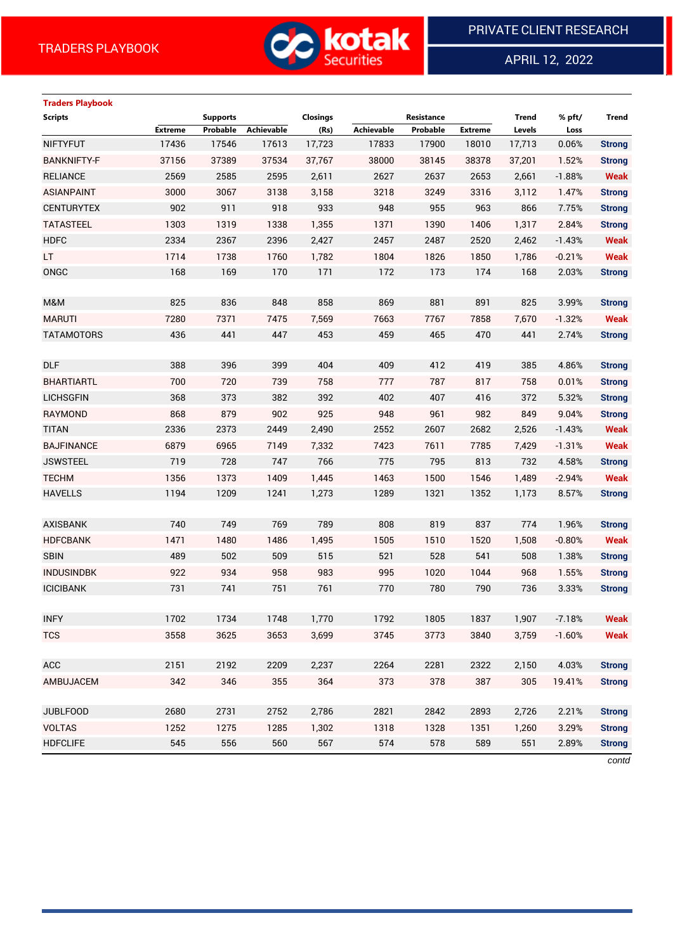

APRIL 12, 2022

 $\overline{a}$ 

# **Traders Playbook Scripts Supports Closings Resistance Trend % pft/ Trend Extreme Probable Achievable (Rs) Achievable Probable Extreme Levels Loss** NIFTYFUT 17436 17546 17613 17,723 17833 17900 18010 17,713 0.06% **Strong** BANKNIFTY-F 37156 37389 37534 37,767 38000 38145 38378 37,201 1.52% **Strong** RELIANCE 2569 2585 2595 2,611 2627 2637 2653 2,661 -1.88% **Weak** ASIANPAINT 3000 3067 3138 3,158 3218 3249 3316 3,112 1.47% **Strong** CENTURYTEX 902 911 918 933 948 955 963 866 7.75% **Strong** TATASTEEL 1303 1319 1338 1,355 1371 1390 1406 1,317 2.84% **Strong** HDFC 2334 2367 2396 2,427 2457 2487 2520 2,462 -1.43% **Weak** LT 1714 1738 1760 1,782 1804 1826 1850 1,786 -0.21% **Weak** ONGC 168 169 170 171 172 173 174 168 2.03% **Strong** M&M 825 836 848 858 869 881 891 825 3.99% **Strong** MARUTI 7280 7371 7475 7,569 7663 7767 7858 7,670 -1.32% **Weak** TATAMOTORS 436 441 447 453 459 465 470 441 2.74% **Strong** DLF 388 396 399 404 409 412 419 385 4.86% **Strong** BHARTIARTL 700 720 739 758 777 787 817 758 0.01% **Strong** LICHSGFIN 368 373 382 392 402 407 416 372 5.32% **Strong** RAYMOND 868 879 902 925 948 961 982 849 9.04% **Strong** TITAN 2336 2373 2449 2,490 2552 2607 2682 2,526 -1.43% **Weak** BAJFINANCE 6879 6965 7149 7,332 7423 7611 7785 7,429 -1.31% **Weak** JSWSTEEL 719 728 747 766 775 795 813 732 4.58% **Strong** TECHM 1356 1373 1409 1,445 1463 1500 1546 1,489 -2.94% **Weak** HAVELLS 1194 1209 1241 1,273 1289 1321 1352 1,173 8.57% **Strong** AXISBANK 740 749 769 789 808 819 837 774 1.96% **Strong** HDFCBANK 1471 1480 1486 1,495 1505 1510 1520 1,508 -0.80% **Weak** SBIN 489 502 509 515 521 528 541 508 1.38% **Strong** INDUSINDBK 922 934 958 983 995 1020 1044 968 1.55% **Strong** ICICIBANK 731 741 751 761 770 780 790 736 3.33% **Strong** INFY 1702 1734 1748 1,770 1792 1805 1837 1,907 -7.18% **Weak** TCS 3558 3625 3653 3,699 3745 3773 3840 3,759 -1.60% **Weak** ACC 2151 2192 2209 2,237 2264 2281 2322 2,150 4.03% **Strong** AMBUJACEM 342 346 355 364 373 378 387 305 19.41% **Strong** JUBLFOOD 2680 2731 2752 2,786 2821 2842 2893 2,726 2.21% **Strong** VOLTAS 1252 1275 1285 1,302 1318 1328 1351 1,260 3.29% **Strong** HDFCLIFE 545 556 560 567 574 578 589 551 2.89% **Strong**

*contd*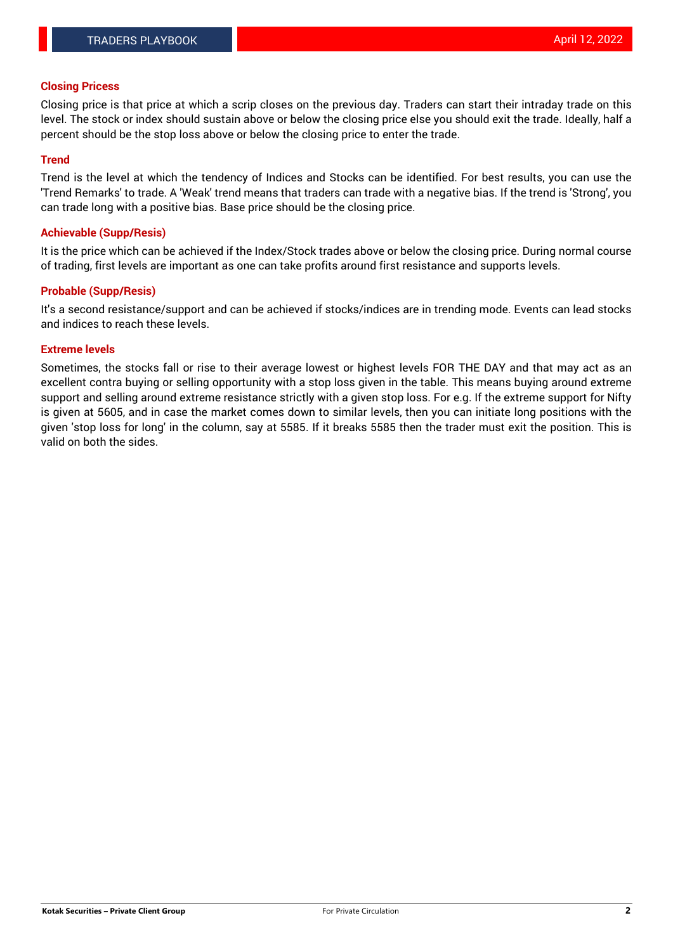#### **Closing Pricess**

Closing price is that price at which a scrip closes on the previous day. Traders can start their intraday trade on this level. The stock or index should sustain above or below the closing price else you should exit the trade. Ideally, half a percent should be the stop loss above or below the closing price to enter the trade.

### **Trend**

Trend is the level at which the tendency of Indices and Stocks can be identified. For best results, you can use the 'Trend Remarks' to trade. A 'Weak' trend means that traders can trade with a negative bias. If the trend is 'Strong', you can trade long with a positive bias. Base price should be the closing price.

#### **Achievable (Supp/Resis)**

It is the price which can be achieved if the Index/Stock trades above or below the closing price. During normal course of trading, first levels are important as one can take profits around first resistance and supports levels.

## **Probable (Supp/Resis)**

It's a second resistance/support and can be achieved if stocks/indices are in trending mode. Events can lead stocks and indices to reach these levels.

#### **Extreme levels**

Sometimes, the stocks fall or rise to their average lowest or highest levels FOR THE DAY and that may act as an excellent contra buying or selling opportunity with a stop loss given in the table. This means buying around extreme support and selling around extreme resistance strictly with a given stop loss. For e.g. If the extreme support for Nifty is given at 5605, and in case the market comes down to similar levels, then you can initiate long positions with the given 'stop loss for long' in the column, say at 5585. If it breaks 5585 then the trader must exit the position. This is valid on both the sides.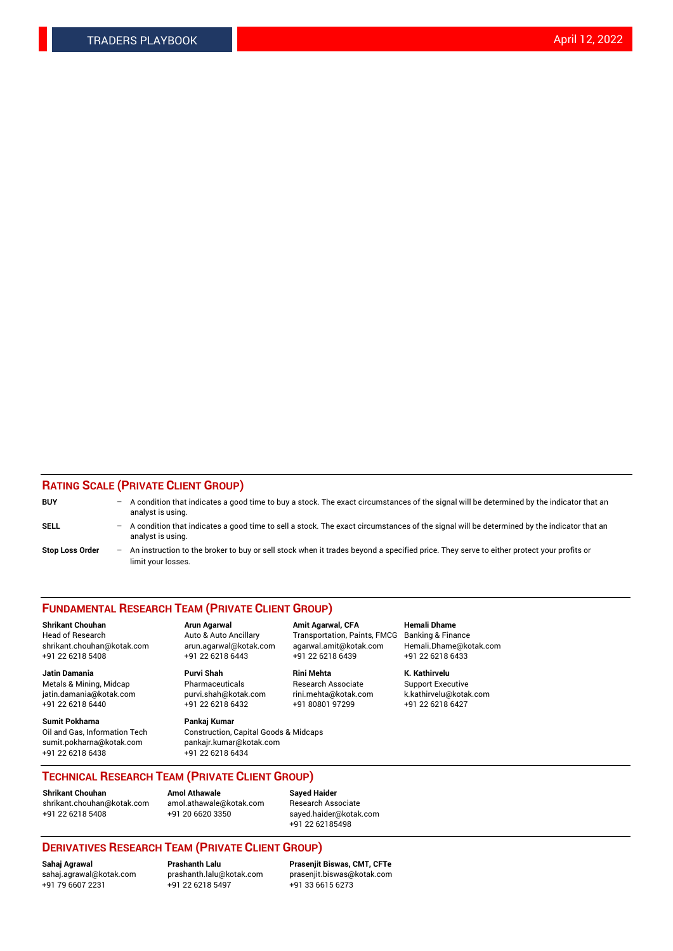## **RATING SCALE (PRIVATE CLIENT GROUP)**

| <b>BUY</b>             | -                 | A condition that indicates a good time to buy a stock. The exact circumstances of the signal will be determined by the indicator that an<br>analyst is using.  |
|------------------------|-------------------|----------------------------------------------------------------------------------------------------------------------------------------------------------------|
| SELL                   | -                 | A condition that indicates a good time to sell a stock. The exact circumstances of the signal will be determined by the indicator that an<br>analyst is using. |
| <b>Stop Loss Order</b> | $\qquad \qquad -$ | An instruction to the broker to buy or sell stock when it trades beyond a specified price. They serve to either protect your profits or<br>limit your losses.  |

#### **FUNDAMENTAL RESEARCH TEAM (PRIVATE CLIENT GROUP)**

**Shrikant Chouhan Arun Agarwal Amit Agarwal, CFA Hemali Dhame** Head of Research Auto & Auto Ancillary Transportation, Paints, FMCG Banking & Finance shrikant.chouhan@kotak.com arun.agarwal@kotak.com agarwal.amit@kotak.com Hemali.Dhame@kotak.com

**Jatin Damania Purvi Shah Rini Mehta K. Kathirvelu** Metals & Mining, Midcap **Pharmaceuticals** Research Associate Support Executive jatin.damania@kotak.com [purvi.shah@kotak.com](mailto:purvi.shah@kotak.com) rini.mehta@kotak.com [k.kathirvelu@kotak.com](mailto:k.kathirvelu@kotak.com)  $+91$  22 6218 6440  $+91$  22 6218 6432

**Sumit Pokharna Pankaj Kumar** sumit.pokharna@kotak.com pankajr.kumar@kotak.com +91 22 6218 6438 +91 22 6218 6434

Oil and Gas, Information Tech Construction, Capital Goods & Midcaps

+91 22 6218 5408 +91 22 6218 6443 +91 22 6218 6439 +91 22 6218 6433

**TECHNICAL RESEARCH TEAM (PRIVATE CLIENT GROUP)**

[shrikant.chouhan@kotak.com](mailto:shrikant.chouhan@kotak.com) [amol.athawale@kotak.com](mailto:amol.athawale@kotak.com) Research Associate +91 22 6218 5408 +91 20 6620 3350 [sayed.haider@kotak.com](mailto:sayed.haider@kotak.com)

**Shrikant Chouhan Amol Athawale Sayed Haider**

+91 22 62185498

# **DERIVATIVES RESEARCH TEAM (PRIVATE CLIENT GROUP)**

 $+91$  22 6218 5497

**Sahaj Agrawal Prashanth Lalu Prasenjit Biswas, CMT, CFTe** [sahaj.agrawal@kotak.com](mailto:sahaj.agrawal@kotak.com) [prashanth.lalu@kotak.com](mailto:prashanth.lalu@kotak.com) [prasenjit.biswas@kotak.com](mailto:prasenjit.biswas@kotak.com)